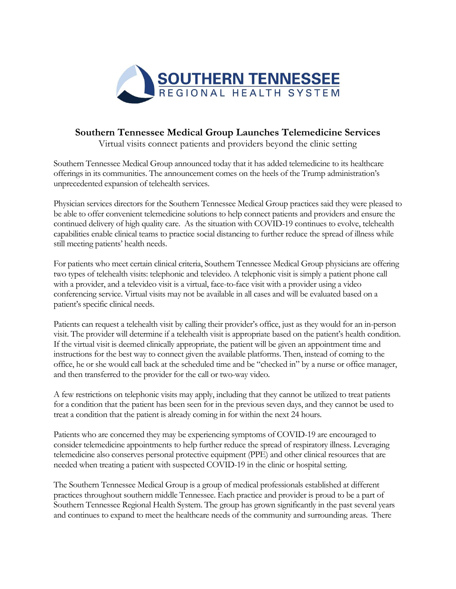

## **Southern Tennessee Medical Group Launches Telemedicine Services**

Virtual visits connect patients and providers beyond the clinic setting

Southern Tennessee Medical Group announced today that it has added telemedicine to its healthcare offerings in its communities. The announcement comes on the heels of the Trump administration's unprecedented expansion of telehealth services.

Physician services directors for the Southern Tennessee Medical Group practices said they were pleased to be able to offer convenient telemedicine solutions to help connect patients and providers and ensure the continued delivery of high quality care. As the situation with COVID-19 continues to evolve, telehealth capabilities enable clinical teams to practice social distancing to further reduce the spread of illness while still meeting patients' health needs.

For patients who meet certain clinical criteria, Southern Tennessee Medical Group physicians are offering two types of telehealth visits: telephonic and televideo. A telephonic visit is simply a patient phone call with a provider, and a televideo visit is a virtual, face-to-face visit with a provider using a video conferencing service. Virtual visits may not be available in all cases and will be evaluated based on a patient's specific clinical needs.

Patients can request a telehealth visit by calling their provider's office, just as they would for an in-person visit. The provider will determine if a telehealth visit is appropriate based on the patient's health condition. If the virtual visit is deemed clinically appropriate, the patient will be given an appointment time and instructions for the best way to connect given the available platforms. Then, instead of coming to the office, he or she would call back at the scheduled time and be "checked in" by a nurse or office manager, and then transferred to the provider for the call or two-way video.

A few restrictions on telephonic visits may apply, including that they cannot be utilized to treat patients for a condition that the patient has been seen for in the previous seven days, and they cannot be used to treat a condition that the patient is already coming in for within the next 24 hours.

Patients who are concerned they may be experiencing symptoms of COVID-19 are encouraged to consider telemedicine appointments to help further reduce the spread of respiratory illness. Leveraging telemedicine also conserves personal protective equipment (PPE) and other clinical resources that are needed when treating a patient with suspected COVID-19 in the clinic or hospital setting.

The Southern Tennessee Medical Group is a group of medical professionals established at different practices throughout southern middle Tennessee. Each practice and provider is proud to be a part of Southern Tennessee Regional Health System. The group has grown significantly in the past several years and continues to expand to meet the healthcare needs of the community and surrounding areas. There